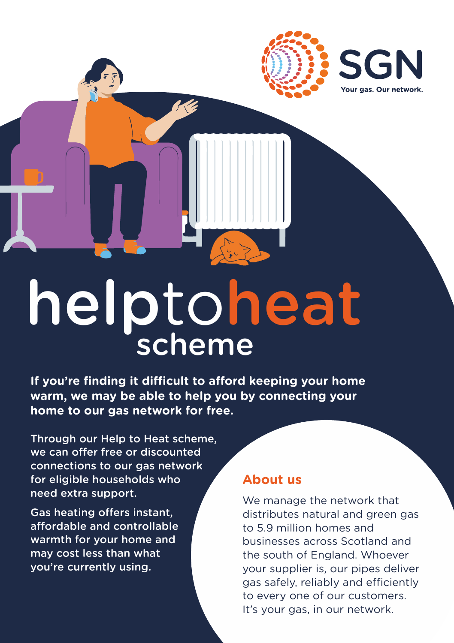

# helptoheat scheme

**If you're finding it difficult to afford keeping your home warm, we may be able to help you by connecting your home to our gas network for free.**

Through our Help to Heat scheme, we can offer free or discounted connections to our gas network for eligible households who need extra support.

Gas heating offers instant, affordable and controllable warmth for your home and may cost less than what you're currently using.

#### **About us**

We manage the network that distributes natural and green gas to 5.9 million homes and businesses across Scotland and the south of England. Whoever your supplier is, our pipes deliver gas safely, reliably and efficiently to every one of our customers. It's your gas, in our network.